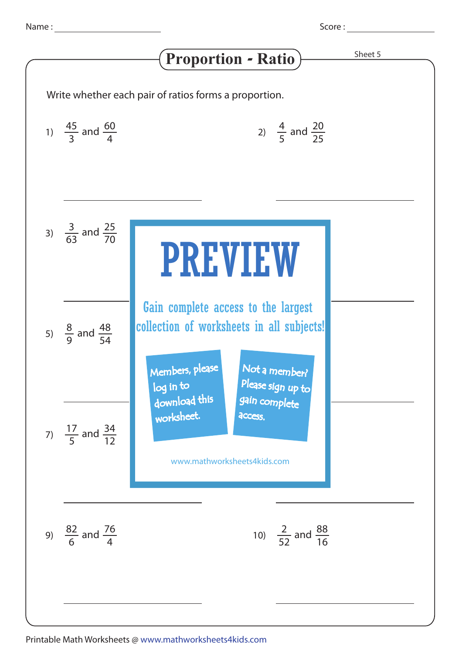